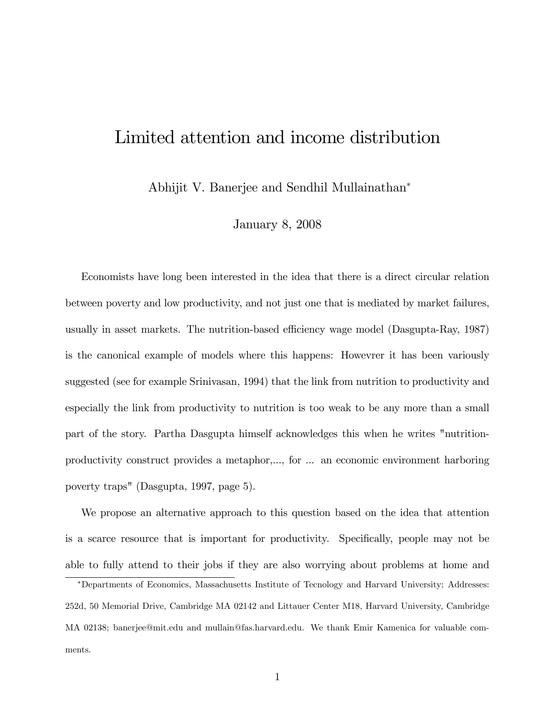# Limited attention and income distribution

Abhijit V. Banerjee and Sendhil Mullainathan

January 8, 2008

Economists have long been interested in the idea that there is a direct circular relation between poverty and low productivity, and not just one that is mediated by market failures, usually in asset markets. The nutrition-based efficiency wage model (Dasgupta-Ray, 1987) is the canonical example of models where this happens: Howevrer it has been variously suggested (see for example Srinivasan, 1994) that the link from nutrition to productivity and especially the link from productivity to nutrition is too weak to be any more than a small part of the story. Partha Dasgupta himself acknowledges this when he writes "nutritionproductivity construct provides a metaphor,..., for ... an economic environment harboring poverty traps" (Dasgupta, 1997, page 5).

We propose an alternative approach to this question based on the idea that attention is a scarce resource that is important for productivity. Specifically, people may not be able to fully attend to their jobs if they are also worrying about problems at home and

Departments of Economics, Massachusetts Institute of Tecnology and Harvard University; Addresses: 252d, 50 Memorial Drive, Cambridge MA 02142 and Littauer Center M18, Harvard University, Cambridge MA 02138; banerjee@mit.edu and mullain@fas.harvard.edu. We thank Emir Kamenica for valuable comments.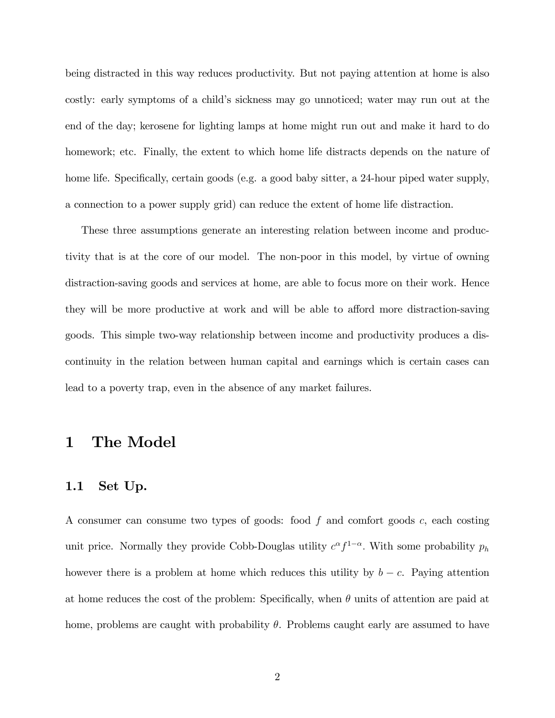being distracted in this way reduces productivity. But not paying attention at home is also costly: early symptoms of a child's sickness may go unnoticed; water may run out at the end of the day; kerosene for lighting lamps at home might run out and make it hard to do homework; etc. Finally, the extent to which home life distracts depends on the nature of home life. Specifically, certain goods (e.g. a good baby sitter, a 24-hour piped water supply, a connection to a power supply grid) can reduce the extent of home life distraction.

These three assumptions generate an interesting relation between income and productivity that is at the core of our model. The non-poor in this model, by virtue of owning distraction-saving goods and services at home, are able to focus more on their work. Hence they will be more productive at work and will be able to afford more distraction-saving goods. This simple two-way relationship between income and productivity produces a discontinuity in the relation between human capital and earnings which is certain cases can lead to a poverty trap, even in the absence of any market failures.

### 1 The Model

#### 1.1 Set Up.

A consumer can consume two types of goods: food  $f$  and comfort goods  $c$ , each costing unit price. Normally they provide Cobb-Douglas utility  $c^{\alpha} f^{1-\alpha}$ . With some probability  $p_h$ however there is a problem at home which reduces this utility by  $b - c$ . Paying attention at home reduces the cost of the problem: Specifically, when  $\theta$  units of attention are paid at home, problems are caught with probability  $\theta$ . Problems caught early are assumed to have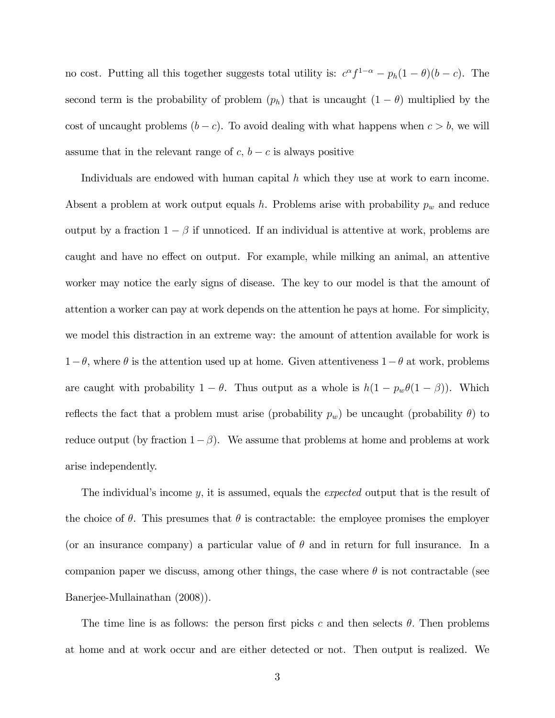no cost. Putting all this together suggests total utility is:  $c^{\alpha} f^{1-\alpha} - p_h(1-\theta)(b-c)$ . The second term is the probability of problem  $(p_h)$  that is uncaught  $(1 - \theta)$  multiplied by the cost of uncaught problems  $(b - c)$ . To avoid dealing with what happens when  $c > b$ , we will assume that in the relevant range of  $c, b - c$  is always positive

Individuals are endowed with human capital  $h$  which they use at work to earn income. Absent a problem at work output equals h. Problems arise with probability  $p_w$  and reduce output by a fraction  $1 - \beta$  if unnoticed. If an individual is attentive at work, problems are caught and have no effect on output. For example, while milking an animal, an attentive worker may notice the early signs of disease. The key to our model is that the amount of attention a worker can pay at work depends on the attention he pays at home. For simplicity, we model this distraction in an extreme way: the amount of attention available for work is  $1-\theta$ , where  $\theta$  is the attention used up at home. Given attentiveness  $1-\theta$  at work, problems are caught with probability  $1 - \theta$ . Thus output as a whole is  $h(1 - p_w\theta(1 - \beta))$ . Which reflects the fact that a problem must arise (probability  $p_w$ ) be uncaught (probability  $\theta$ ) to reduce output (by fraction  $1-\beta$ ). We assume that problems at home and problems at work arise independently.

The individual's income  $y$ , it is assumed, equals the *expected* output that is the result of the choice of  $\theta$ . This presumes that  $\theta$  is contractable: the employee promises the employer (or an insurance company) a particular value of  $\theta$  and in return for full insurance. In a companion paper we discuss, among other things, the case where  $\theta$  is not contractable (see Banerjee-Mullainathan (2008)).

The time line is as follows: the person first picks c and then selects  $\theta$ . Then problems at home and at work occur and are either detected or not. Then output is realized. We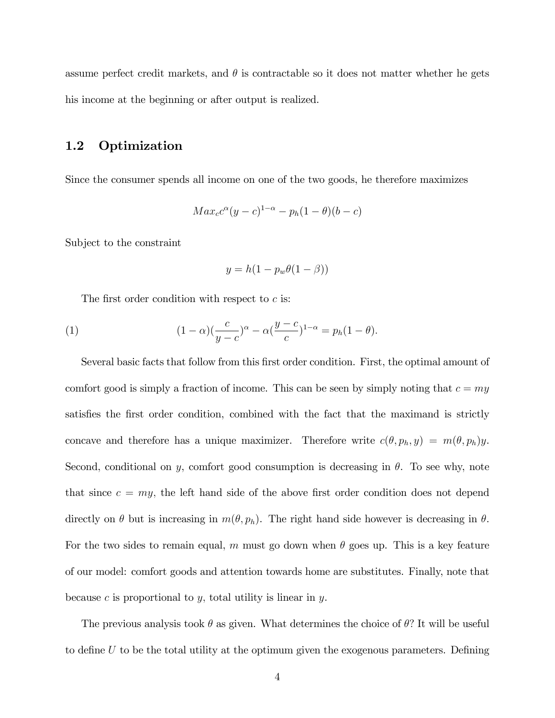assume perfect credit markets, and  $\theta$  is contractable so it does not matter whether he gets his income at the beginning or after output is realized.

#### 1.2 Optimization

Since the consumer spends all income on one of the two goods, he therefore maximizes

$$
Max_{c}c^{\alpha}(y-c)^{1-\alpha}-p_{h}(1-\theta)(b-c)
$$

Subject to the constraint

$$
y = h(1 - p_w \theta(1 - \beta))
$$

The first order condition with respect to  $c$  is:

(1) 
$$
(1 - \alpha)\left(\frac{c}{y - c}\right)^{\alpha} - \alpha\left(\frac{y - c}{c}\right)^{1 - \alpha} = p_h(1 - \theta).
$$

Several basic facts that follow from this first order condition. First, the optimal amount of comfort good is simply a fraction of income. This can be seen by simply noting that  $c = my$ satisfies the first order condition, combined with the fact that the maximand is strictly concave and therefore has a unique maximizer. Therefore write  $c(\theta, p_h, y) = m(\theta, p_h)y$ . Second, conditional on y, comfort good consumption is decreasing in  $\theta$ . To see why, note that since  $c = my$ , the left hand side of the above first order condition does not depend directly on  $\theta$  but is increasing in  $m(\theta, p_h)$ . The right hand side however is decreasing in  $\theta$ . For the two sides to remain equal, m must go down when  $\theta$  goes up. This is a key feature of our model: comfort goods and attention towards home are substitutes. Finally, note that because c is proportional to  $y$ , total utility is linear in  $y$ .

The previous analysis took  $\theta$  as given. What determines the choice of  $\theta$ ? It will be useful to define  $U$  to be the total utility at the optimum given the exogenous parameters. Defining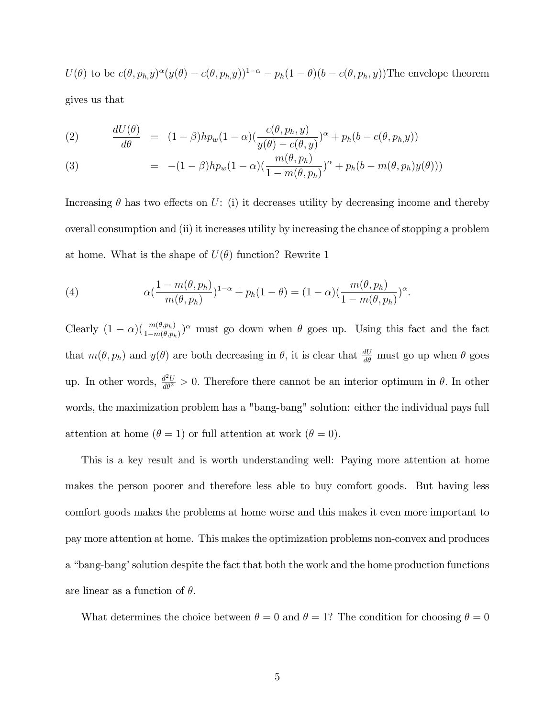$U(\theta)$  to be  $c(\theta, p_h, y)^\alpha (y(\theta) - c(\theta, p_h, y))^{1-\alpha} - p_h(1 - \theta)(b - c(\theta, p_h, y))$ The envelope theorem

gives us that

(2) 
$$
\frac{dU(\theta)}{d\theta} = (1-\beta)hp_w(1-\alpha)\left(\frac{c(\theta, p_h, y)}{y(\theta) - c(\theta, y)}\right)^{\alpha} + p_h(b - c(\theta, p_h, y))
$$

(3) 
$$
= -(1-\beta)hp_w(1-\alpha)\left(\frac{m(\theta,p_h)}{1-m(\theta,p_h)}\right)^{\alpha}+p_h(b-m(\theta,p_h)y(\theta)))
$$

Increasing  $\theta$  has two effects on U: (i) it decreases utility by decreasing income and thereby overall consumption and (ii) it increases utility by increasing the chance of stopping a problem at home. What is the shape of  $U(\theta)$  function? Rewrite 1

(4) 
$$
\alpha(\frac{1-m(\theta, p_h)}{m(\theta, p_h)})^{1-\alpha} + p_h(1-\theta) = (1-\alpha)(\frac{m(\theta, p_h)}{1-m(\theta, p_h)})^{\alpha}.
$$

Clearly  $(1 - \alpha)(\frac{m(\theta, p_h)}{1 - m(\theta, p_h)})^{\alpha}$  must go down when  $\theta$  goes up. Using this fact and the fact that  $m(\theta, p_h)$  and  $y(\theta)$  are both decreasing in  $\theta$ , it is clear that  $\frac{dU}{d\theta}$  must go up when  $\theta$  goes up. In other words,  $\frac{d^2U}{d\theta^2} > 0$ . Therefore there cannot be an interior optimum in  $\theta$ . In other words, the maximization problem has a "bang-bang" solution: either the individual pays full attention at home  $(\theta = 1)$  or full attention at work  $(\theta = 0)$ .

This is a key result and is worth understanding well: Paying more attention at home makes the person poorer and therefore less able to buy comfort goods. But having less comfort goods makes the problems at home worse and this makes it even more important to pay more attention at home. This makes the optimization problems non-convex and produces a "bang-bang' solution despite the fact that both the work and the home production functions are linear as a function of  $\theta$ .

What determines the choice between  $\theta = 0$  and  $\theta = 1$ ? The condition for choosing  $\theta = 0$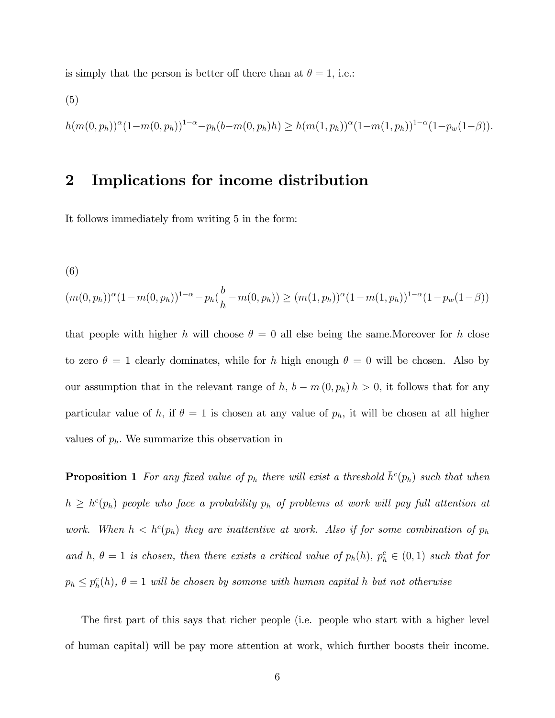is simply that the person is better off there than at  $\theta = 1$ , i.e.:

(5)  

$$
h(m(0, p_h))^{\alpha} (1 - m(0, p_h))^{1 - \alpha} - p_h(b - m(0, p_h)h) \ge h(m(1, p_h))^{\alpha} (1 - m(1, p_h))^{1 - \alpha} (1 - p_w(1 - \beta)).
$$

#### 2 Implications for income distribution

It follows immediately from writing 5 in the form:

(6)

$$
(m(0, p_h))^{\alpha}(1 - m(0, p_h))^{1 - \alpha} - p_h(\frac{b}{h} - m(0, p_h)) \ge (m(1, p_h))^{\alpha}(1 - m(1, p_h))^{1 - \alpha}(1 - p_w(1 - \beta))
$$

that people with higher h will choose  $\theta = 0$  all else being the same. Moreover for h close to zero  $\theta = 1$  clearly dominates, while for h high enough  $\theta = 0$  will be chosen. Also by our assumption that in the relevant range of h,  $b - m(0, p_h) h > 0$ , it follows that for any particular value of h, if  $\theta = 1$  is chosen at any value of  $p_h$ , it will be chosen at all higher values of  $p_h$ . We summarize this observation in

**Proposition 1** For any fixed value of  $p_h$  there will exist a threshold  $\bar{h}^c(p_h)$  such that when  $h \geq h^{c}(p_h)$  people who face a probability  $p_h$  of problems at work will pay full attention at work. When  $h < h^c(p_h)$  they are inattentive at work. Also if for some combination of  $p_h$ and h,  $\theta = 1$  is chosen, then there exists a critical value of  $p_h(h)$ ,  $p_h^c \in (0,1)$  such that for  $p_h \leq p_h^c(h)$ ,  $\theta = 1$  will be chosen by somone with human capital h but not otherwise

The first part of this says that richer people (i.e. people who start with a higher level of human capital) will be pay more attention at work, which further boosts their income.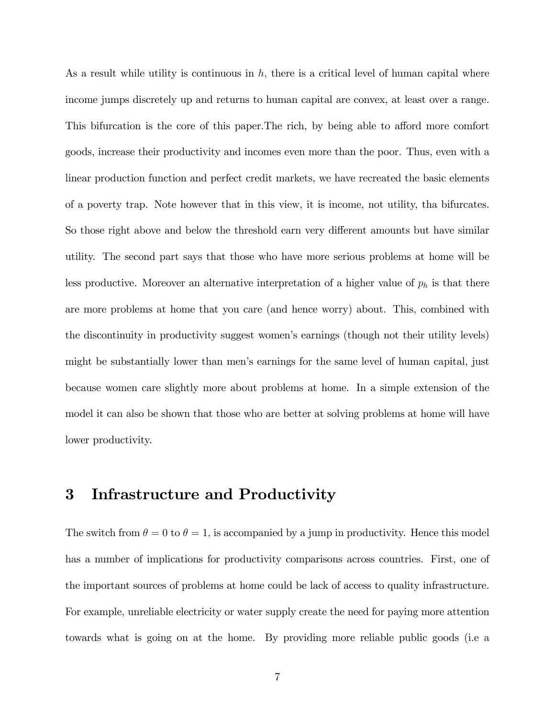As a result while utility is continuous in  $h$ , there is a critical level of human capital where income jumps discretely up and returns to human capital are convex, at least over a range. This bifurcation is the core of this paper. The rich, by being able to afford more comfort goods, increase their productivity and incomes even more than the poor. Thus, even with a linear production function and perfect credit markets, we have recreated the basic elements of a poverty trap. Note however that in this view, it is income, not utility, tha bifurcates. So those right above and below the threshold earn very different amounts but have similar utility. The second part says that those who have more serious problems at home will be less productive. Moreover an alternative interpretation of a higher value of  $p_h$  is that there are more problems at home that you care (and hence worry) about. This, combined with the discontinuity in productivity suggest womenís earnings (though not their utility levels) might be substantially lower than menís earnings for the same level of human capital, just because women care slightly more about problems at home. In a simple extension of the model it can also be shown that those who are better at solving problems at home will have lower productivity.

#### 3 Infrastructure and Productivity

The switch from  $\theta = 0$  to  $\theta = 1$ , is accompanied by a jump in productivity. Hence this model has a number of implications for productivity comparisons across countries. First, one of the important sources of problems at home could be lack of access to quality infrastructure. For example, unreliable electricity or water supply create the need for paying more attention towards what is going on at the home. By providing more reliable public goods (i.e a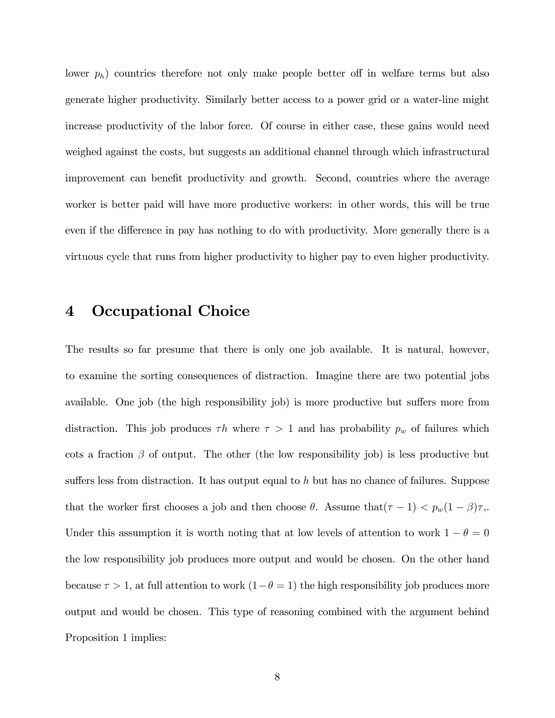lower  $p_h$ ) countries therefore not only make people better off in welfare terms but also generate higher productivity. Similarly better access to a power grid or a water-line might increase productivity of the labor force. Of course in either case, these gains would need weighed against the costs, but suggests an additional channel through which infrastructural improvement can benefit productivity and growth. Second, countries where the average worker is better paid will have more productive workers: in other words, this will be true even if the difference in pay has nothing to do with productivity. More generally there is a virtuous cycle that runs from higher productivity to higher pay to even higher productivity.

#### 4 Occupational Choice

The results so far presume that there is only one job available. It is natural, however, to examine the sorting consequences of distraction. Imagine there are two potential jobs available. One job (the high responsibility job) is more productive but suffers more from distraction. This job produces  $\tau h$  where  $\tau > 1$  and has probability  $p_w$  of failures which cots a fraction  $\beta$  of output. The other (the low responsibility job) is less productive but suffers less from distraction. It has output equal to  $h$  but has no chance of failures. Suppose that the worker first chooses a job and then choose  $\theta$ . Assume that $(\tau - 1) < p_w(1 - \beta)\tau$ . Under this assumption it is worth noting that at low levels of attention to work  $1 - \theta = 0$ the low responsibility job produces more output and would be chosen. On the other hand because  $\tau > 1$ , at full attention to work  $(1 - \theta = 1)$  the high responsibility job produces more output and would be chosen. This type of reasoning combined with the argument behind Proposition 1 implies: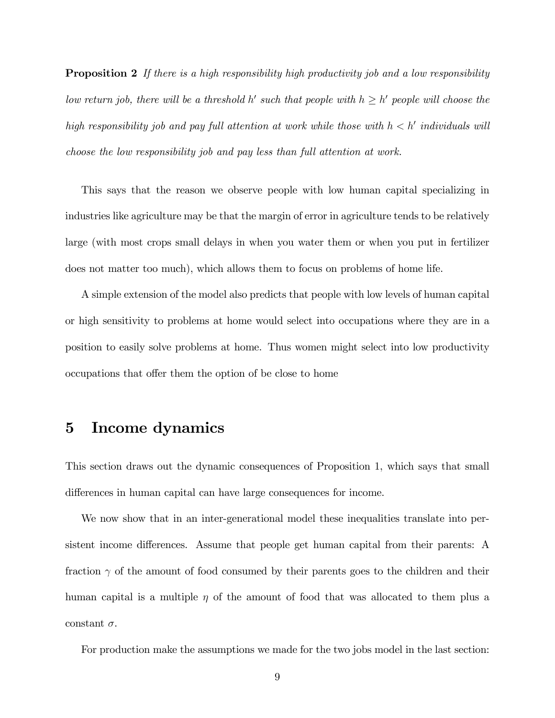**Proposition 2** If there is a high responsibility high productivity job and a low responsibility low return job, there will be a threshold h' such that people with  $h \geq h'$  people will choose the high responsibility job and pay full attention at work while those with  $h < h'$  individuals will choose the low responsibility job and pay less than full attention at work.

This says that the reason we observe people with low human capital specializing in industries like agriculture may be that the margin of error in agriculture tends to be relatively large (with most crops small delays in when you water them or when you put in fertilizer does not matter too much), which allows them to focus on problems of home life.

A simple extension of the model also predicts that people with low levels of human capital or high sensitivity to problems at home would select into occupations where they are in a position to easily solve problems at home. Thus women might select into low productivity occupations that offer them the option of be close to home

#### 5 Income dynamics

This section draws out the dynamic consequences of Proposition 1, which says that small differences in human capital can have large consequences for income.

We now show that in an inter-generational model these inequalities translate into persistent income differences. Assume that people get human capital from their parents: A fraction  $\gamma$  of the amount of food consumed by their parents goes to the children and their human capital is a multiple  $\eta$  of the amount of food that was allocated to them plus a constant  $\sigma$ .

For production make the assumptions we made for the two jobs model in the last section: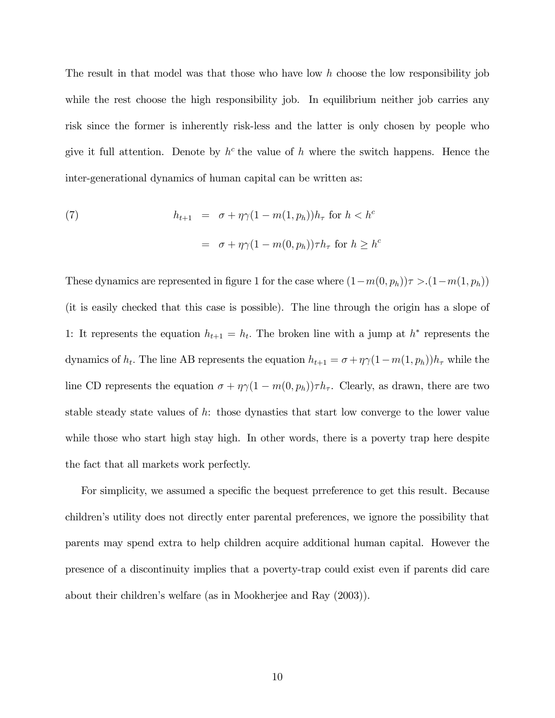The result in that model was that those who have low  $h$  choose the low responsibility job while the rest choose the high responsibility job. In equilibrium neither job carries any risk since the former is inherently risk-less and the latter is only chosen by people who give it full attention. Denote by  $h^c$  the value of h where the switch happens. Hence the inter-generational dynamics of human capital can be written as:

(7) 
$$
h_{t+1} = \sigma + \eta \gamma (1 - m(1, p_h)) h_{\tau} \text{ for } h < h^c
$$

$$
= \sigma + \eta \gamma (1 - m(0, p_h)) \tau h_{\tau} \text{ for } h \ge h^c
$$

These dynamics are represented in figure 1 for the case where  $(1-m(0, p_h))\tau > (1-m(1, p_h))$ (it is easily checked that this case is possible). The line through the origin has a slope of 1: It represents the equation  $h_{t+1} = h_t$ . The broken line with a jump at  $h^*$  represents the dynamics of  $h_t$ . The line AB represents the equation  $h_{t+1} = \sigma + \eta \gamma (1 - m(1, p_h)) h_{\tau}$  while the line CD represents the equation  $\sigma + \eta \gamma (1 - m(0, p_h)) \tau h_{\tau}$ . Clearly, as drawn, there are two stable steady state values of h: those dynasties that start low converge to the lower value while those who start high stay high. In other words, there is a poverty trap here despite the fact that all markets work perfectly.

For simplicity, we assumed a specific the bequest prreference to get this result. Because childrenís utility does not directly enter parental preferences, we ignore the possibility that parents may spend extra to help children acquire additional human capital. However the presence of a discontinuity implies that a poverty-trap could exist even if parents did care about their childrenís welfare (as in Mookherjee and Ray (2003)).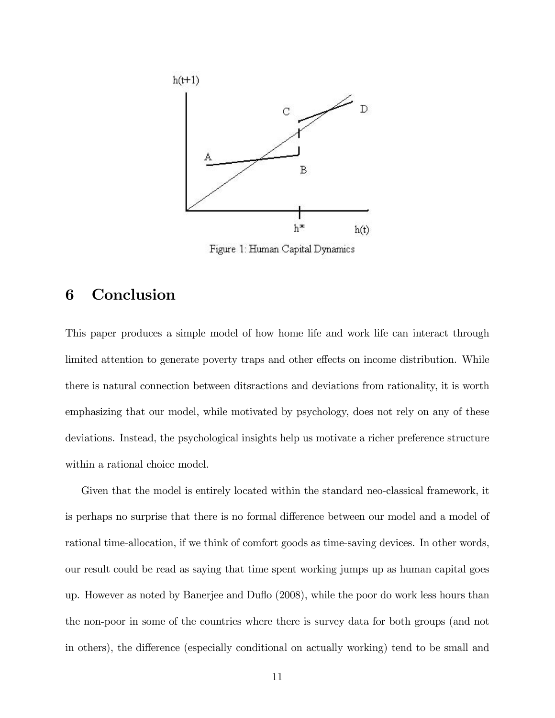

Figure 1: Human Capital Dynamics

## 6 Conclusion

This paper produces a simple model of how home life and work life can interact through limited attention to generate poverty traps and other effects on income distribution. While there is natural connection between ditsractions and deviations from rationality, it is worth emphasizing that our model, while motivated by psychology, does not rely on any of these deviations. Instead, the psychological insights help us motivate a richer preference structure within a rational choice model.

Given that the model is entirely located within the standard neo-classical framework, it is perhaps no surprise that there is no formal difference between our model and a model of rational time-allocation, if we think of comfort goods as time-saving devices. In other words, our result could be read as saying that time spent working jumps up as human capital goes up. However as noted by Banerjee and Duáo (2008), while the poor do work less hours than the non-poor in some of the countries where there is survey data for both groups (and not in others), the difference (especially conditional on actually working) tend to be small and